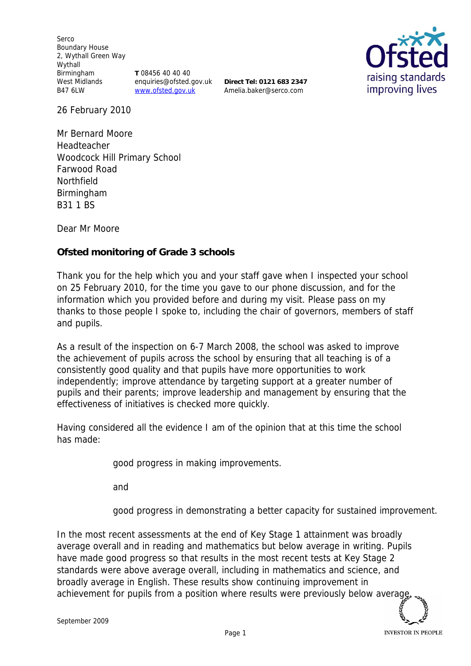Serco Boundary House 2, Wythall Green Way Wythall Birmingham West Midlands B47 6LW

**T** 08456 40 40 40 enquiries@ofsted.gov.uk www.ofsted.gov.uk

**Direct Tel: 0121 683 2347** Amelia.baker@serco.com



26 February 2010

Mr Bernard Moore Headteacher Woodcock Hill Primary School Farwood Road Northfield Birmingham B31 1 BS

Dear Mr Moore

**Ofsted monitoring of Grade 3 schools**

Thank you for the help which you and your staff gave when I inspected your school on 25 February 2010*,* for the time you gave to our phone discussion, and for the information which you provided before and during my visit*.* Please pass on my thanks to those people I spoke to, including the chair of governors, members of staff and pupils.

As a result of the inspection on 6-7 March 2008, the school was asked to improve the achievement of pupils across the school by ensuring that all teaching is of a consistently good quality and that pupils have more opportunities to work independently; improve attendance by targeting support at a greater number of pupils and their parents; improve leadership and management by ensuring that the effectiveness of initiatives is checked more quickly.

Having considered all the evidence I am of the opinion that at this time the school has made:

good progress in making improvements.

and

good progress in demonstrating a better capacity for sustained improvement.

In the most recent assessments at the end of Key Stage 1 attainment was broadly average overall and in reading and mathematics but below average in writing. Pupils have made good progress so that results in the most recent tests at Key Stage 2 standards were above average overall, including in mathematics and science, and broadly average in English. These results show continuing improvement in achievement for pupils from a position where results were previously below averade.